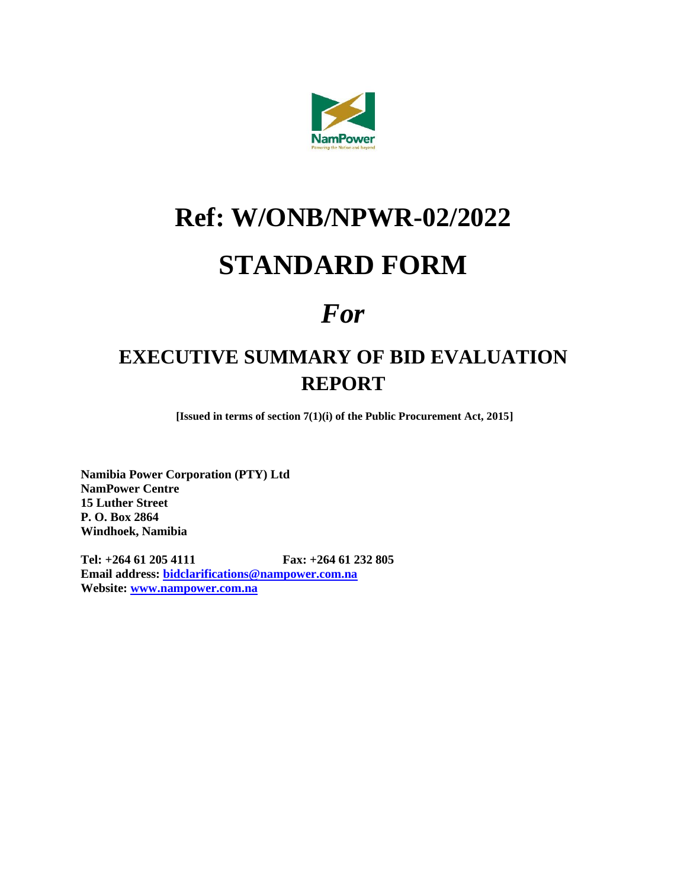

# **Ref: W/ONB/NPWR-02/2022**

## **STANDARD FORM**

## *For*

### **EXECUTIVE SUMMARY OF BID EVALUATION REPORT**

**[Issued in terms of section 7(1)(i) of the Public Procurement Act, 2015]**

**Namibia Power Corporation (PTY) Ltd NamPower Centre 15 Luther Street P. O. Box 2864 Windhoek, Namibia**

**Tel: +264 61 205 4111 Fax: +264 61 232 805 Email address: [bidclarifications@nampower.com.na](mailto:bidclarifications@nampower.com.na) Website: [www.nampower.com.na](http://www.nampower.com.na/)**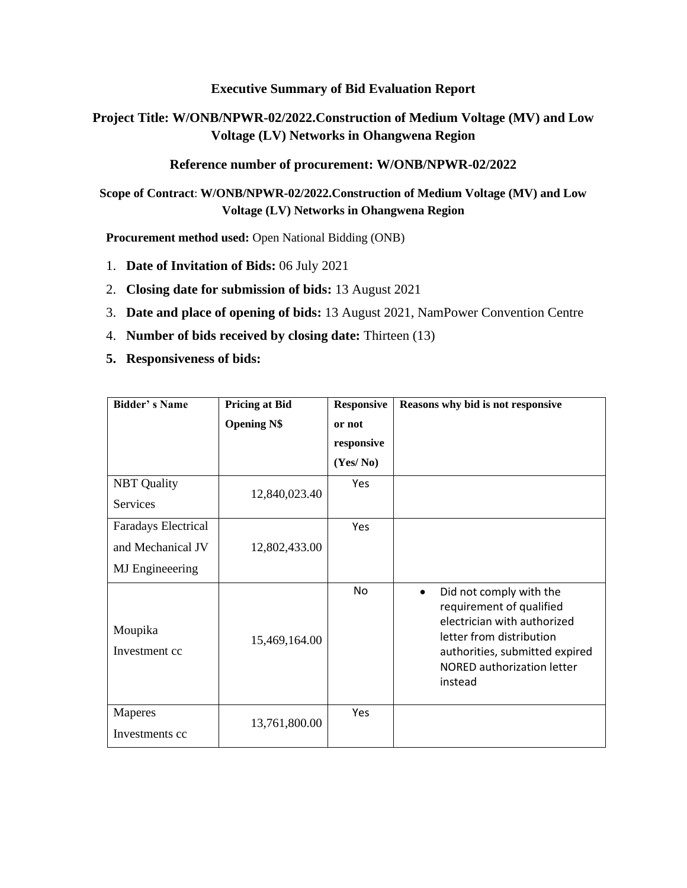#### **Executive Summary of Bid Evaluation Report**

#### **Project Title: W/ONB/NPWR-02/2022.Construction of Medium Voltage (MV) and Low Voltage (LV) Networks in Ohangwena Region**

#### **Reference number of procurement: W/ONB/NPWR-02/2022**

**Scope of Contract**: **W/ONB/NPWR-02/2022.Construction of Medium Voltage (MV) and Low Voltage (LV) Networks in Ohangwena Region**

**Procurement method used:** Open National Bidding (ONB)

- 1. **Date of Invitation of Bids:** 06 July 2021
- 2. **Closing date for submission of bids:** 13 August 2021
- 3. **Date and place of opening of bids:** 13 August 2021, NamPower Convention Centre
- 4. **Number of bids received by closing date:** Thirteen (13)
- **5. Responsiveness of bids:**

| <b>Bidder's Name</b>      | <b>Pricing at Bid</b> | <b>Responsive</b> | Reasons why bid is not responsive                                                                                                                                                                             |  |  |
|---------------------------|-----------------------|-------------------|---------------------------------------------------------------------------------------------------------------------------------------------------------------------------------------------------------------|--|--|
|                           | <b>Opening N\$</b>    | or not            |                                                                                                                                                                                                               |  |  |
|                           |                       | responsive        |                                                                                                                                                                                                               |  |  |
|                           |                       | (Yes/No)          |                                                                                                                                                                                                               |  |  |
| <b>NBT</b> Quality        |                       | Yes               |                                                                                                                                                                                                               |  |  |
| Services                  | 12,840,023.40         |                   |                                                                                                                                                                                                               |  |  |
| Faradays Electrical       |                       | Yes               |                                                                                                                                                                                                               |  |  |
| and Mechanical JV         | 12,802,433.00         |                   |                                                                                                                                                                                                               |  |  |
| <b>MJ</b> Engineeering    |                       |                   |                                                                                                                                                                                                               |  |  |
| Moupika<br>Investment cc  | 15,469,164.00         | No                | Did not comply with the<br>$\bullet$<br>requirement of qualified<br>electrician with authorized<br>letter from distribution<br>authorities, submitted expired<br><b>NORED authorization letter</b><br>instead |  |  |
| Maperes<br>Investments cc | 13,761,800.00         | Yes               |                                                                                                                                                                                                               |  |  |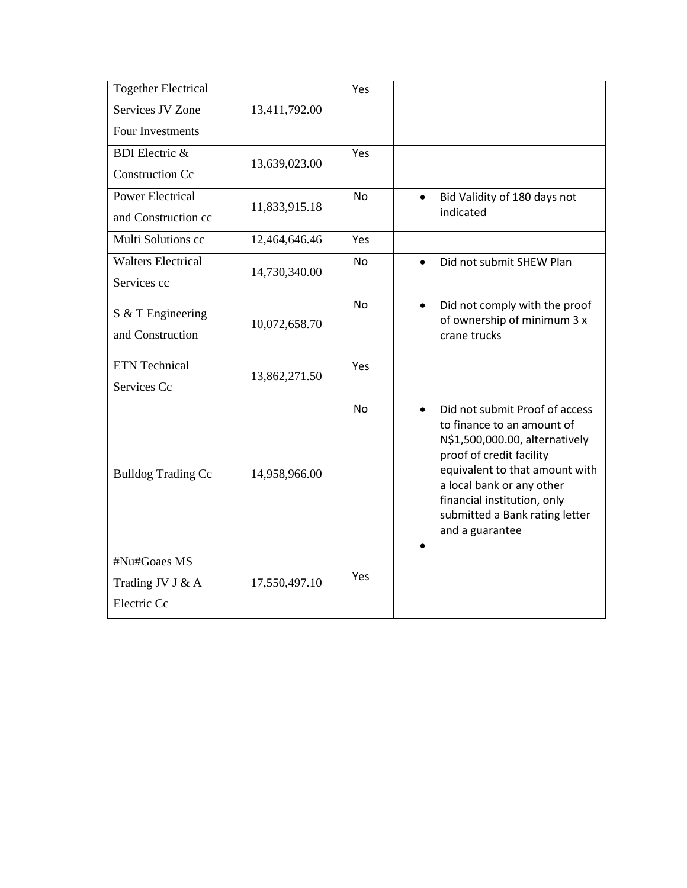| <b>Together Electrical</b> |               | Yes       |                                                              |
|----------------------------|---------------|-----------|--------------------------------------------------------------|
| Services JV Zone           | 13,411,792.00 |           |                                                              |
| Four Investments           |               |           |                                                              |
| <b>BDI</b> Electric &      | 13,639,023.00 | Yes       |                                                              |
| <b>Construction Cc</b>     |               |           |                                                              |
| <b>Power Electrical</b>    | 11,833,915.18 | <b>No</b> | Bid Validity of 180 days not<br>$\bullet$                    |
| and Construction cc        |               |           | indicated                                                    |
| Multi Solutions cc         | 12,464,646.46 | Yes       |                                                              |
| <b>Walters Electrical</b>  | 14,730,340.00 | <b>No</b> | Did not submit SHEW Plan                                     |
| Services cc                |               |           |                                                              |
| S & T Engineering          |               | <b>No</b> | Did not comply with the proof<br>$\bullet$                   |
| and Construction           | 10,072,658.70 |           | of ownership of minimum 3 x<br>crane trucks                  |
|                            |               |           |                                                              |
| ETN Technical              | 13,862,271.50 | Yes       |                                                              |
| Services Cc                |               |           |                                                              |
|                            |               | <b>No</b> | Did not submit Proof of access<br>$\bullet$                  |
|                            |               |           | to finance to an amount of<br>N\$1,500,000.00, alternatively |
| <b>Bulldog Trading Cc</b>  | 14,958,966.00 |           | proof of credit facility                                     |
|                            |               |           | equivalent to that amount with                               |
|                            |               |           | a local bank or any other<br>financial institution, only     |
|                            |               |           | submitted a Bank rating letter                               |
|                            |               |           | and a guarantee                                              |
| #Nu#Goaes MS               |               |           |                                                              |
| Trading JV J & A           |               |           |                                                              |
|                            |               | Yes       |                                                              |
| Electric Cc                | 17,550,497.10 |           |                                                              |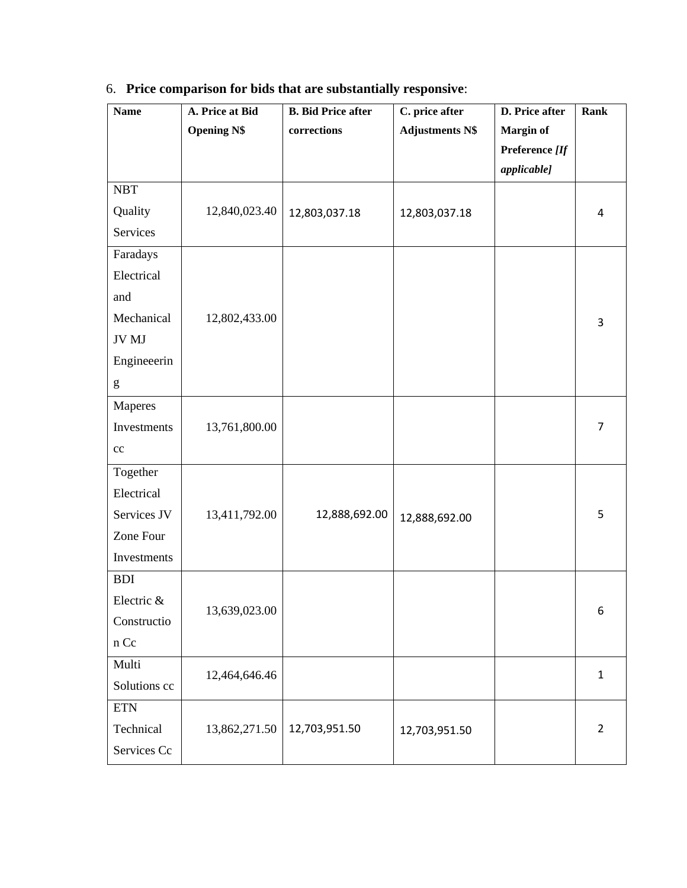| <b>Name</b>                 | A. Price at Bid    | <b>B.</b> Bid Price after | C. price after         | D. Price after   | Rank           |
|-----------------------------|--------------------|---------------------------|------------------------|------------------|----------------|
|                             | <b>Opening N\$</b> | corrections               | <b>Adjustments N\$</b> | <b>Margin of</b> |                |
|                             |                    |                           |                        | Preference [If   |                |
|                             |                    |                           |                        | applicable]      |                |
| <b>NBT</b>                  |                    |                           |                        |                  |                |
| Quality                     | 12,840,023.40      | 12,803,037.18             | 12,803,037.18          |                  | 4              |
| Services                    |                    |                           |                        |                  |                |
| Faradays                    |                    |                           |                        |                  |                |
| Electrical                  |                    |                           |                        |                  |                |
| and                         |                    |                           |                        |                  |                |
| Mechanical                  | 12,802,433.00      |                           |                        |                  | 3              |
| JV MJ                       |                    |                           |                        |                  |                |
| Engineeerin                 |                    |                           |                        |                  |                |
| ${\sf g}$                   |                    |                           |                        |                  |                |
| Maperes                     |                    |                           |                        |                  |                |
| Investments                 | 13,761,800.00      |                           |                        |                  | 7              |
| $\rm cc$                    |                    |                           |                        |                  |                |
| Together                    |                    |                           |                        |                  |                |
| Electrical                  |                    |                           |                        |                  |                |
| Services JV                 | 13,411,792.00      | 12,888,692.00             | 12,888,692.00          |                  | 5              |
| Zone Four                   |                    |                           |                        |                  |                |
| Investments                 |                    |                           |                        |                  |                |
| <b>BDI</b>                  |                    |                           |                        |                  |                |
| Electric &                  |                    |                           |                        |                  | 6              |
| Constructio                 | 13,639,023.00      |                           |                        |                  |                |
| $\boldsymbol{\mathsf n}$ Cc |                    |                           |                        |                  |                |
| Multi                       |                    |                           |                        |                  |                |
| Solutions cc                | 12,464,646.46      |                           |                        |                  | $\mathbf{1}$   |
| <b>ETN</b>                  |                    |                           |                        |                  |                |
| Technical                   | 13,862,271.50      | 12,703,951.50             | 12,703,951.50          |                  | $\overline{2}$ |
| Services Cc                 |                    |                           |                        |                  |                |

### 6. **Price comparison for bids that are substantially responsive**: